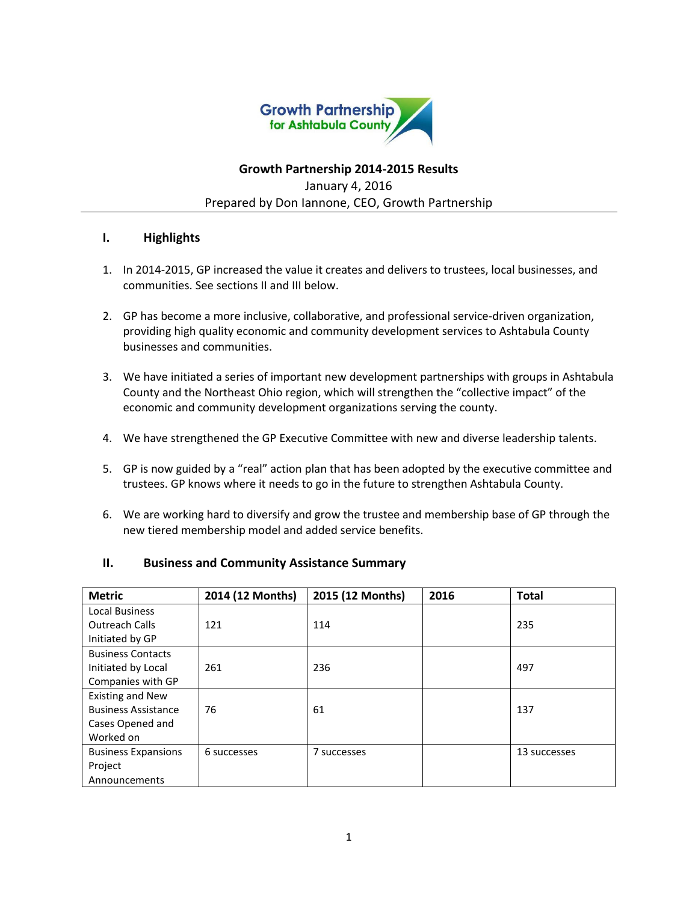

# **Growth Partnership 2014-2015 Results** January 4, 2016 Prepared by Don Iannone, CEO, Growth Partnership

## **I. Highlights**

- 1. In 2014-2015, GP increased the value it creates and delivers to trustees, local businesses, and communities. See sections II and III below.
- 2. GP has become a more inclusive, collaborative, and professional service-driven organization, providing high quality economic and community development services to Ashtabula County businesses and communities.
- 3. We have initiated a series of important new development partnerships with groups in Ashtabula County and the Northeast Ohio region, which will strengthen the "collective impact" of the economic and community development organizations serving the county.
- 4. We have strengthened the GP Executive Committee with new and diverse leadership talents.
- 5. GP is now guided by a "real" action plan that has been adopted by the executive committee and trustees. GP knows where it needs to go in the future to strengthen Ashtabula County.
- 6. We are working hard to diversify and grow the trustee and membership base of GP through the new tiered membership model and added service benefits.

| <b>Metric</b>              | 2014 (12 Months) | 2015 (12 Months) | 2016 | <b>Total</b> |
|----------------------------|------------------|------------------|------|--------------|
| <b>Local Business</b>      |                  |                  |      |              |
| <b>Outreach Calls</b>      | 121              | 114              |      | 235          |
| Initiated by GP            |                  |                  |      |              |
| <b>Business Contacts</b>   |                  |                  |      |              |
| Initiated by Local         | 261              | 236              |      | 497          |
| Companies with GP          |                  |                  |      |              |
| <b>Existing and New</b>    |                  |                  |      |              |
| <b>Business Assistance</b> | 76               | 61               |      | 137          |
| Cases Opened and           |                  |                  |      |              |
| Worked on                  |                  |                  |      |              |
| <b>Business Expansions</b> | 6 successes      | 7 successes      |      | 13 successes |
| Project                    |                  |                  |      |              |
| Announcements              |                  |                  |      |              |

### **II. Business and Community Assistance Summary**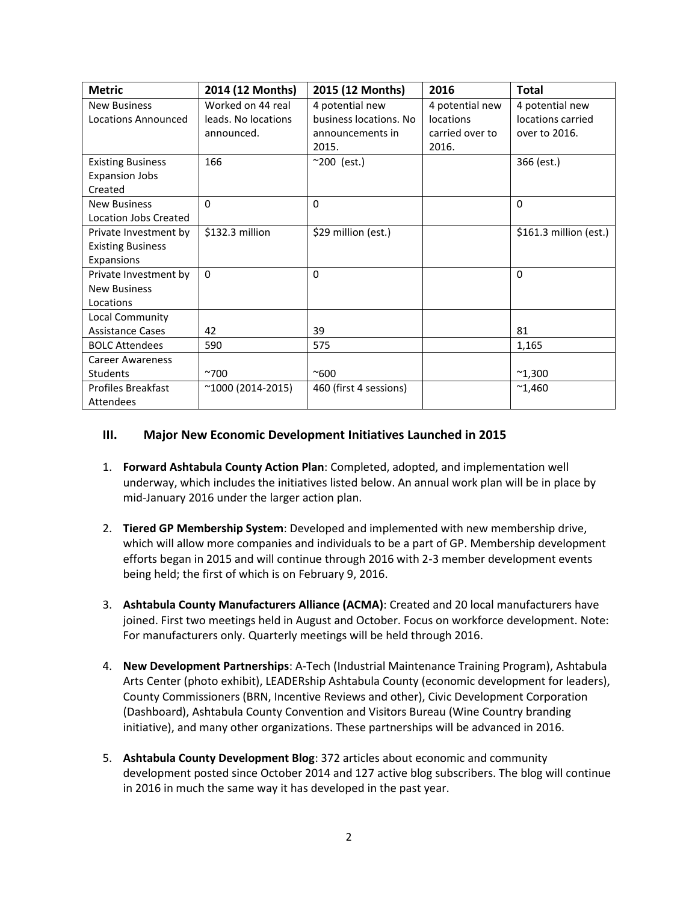| <b>Metric</b>             | 2014 (12 Months)          | 2015 (12 Months)       | 2016            | Total                  |
|---------------------------|---------------------------|------------------------|-----------------|------------------------|
| <b>New Business</b>       | Worked on 44 real         | 4 potential new        | 4 potential new | 4 potential new        |
| Locations Announced       | leads. No locations       | business locations. No | locations       | locations carried      |
|                           | announced.                | announcements in       | carried over to | over to 2016.          |
|                           |                           | 2015.                  | 2016.           |                        |
| <b>Existing Business</b>  | 166                       | ~200 (est.)            |                 | 366 (est.)             |
| <b>Expansion Jobs</b>     |                           |                        |                 |                        |
| Created                   |                           |                        |                 |                        |
| <b>New Business</b>       | $\Omega$                  | $\Omega$               |                 | $\Omega$               |
| Location Jobs Created     |                           |                        |                 |                        |
| Private Investment by     | \$132.3 million           | \$29 million (est.)    |                 | \$161.3 million (est.) |
| <b>Existing Business</b>  |                           |                        |                 |                        |
| Expansions                |                           |                        |                 |                        |
| Private Investment by     | $\mathbf{0}$              | $\Omega$               |                 | $\Omega$               |
| <b>New Business</b>       |                           |                        |                 |                        |
| Locations                 |                           |                        |                 |                        |
| Local Community           |                           |                        |                 |                        |
| <b>Assistance Cases</b>   | 42                        | 39                     |                 | 81                     |
| <b>BOLC Attendees</b>     | 590                       | 575                    |                 | 1,165                  |
| <b>Career Awareness</b>   |                           |                        |                 |                        |
| <b>Students</b>           | $^{\sim}700$              | $^{\sim}600$           |                 | $^{\sim}1,300$         |
| <b>Profiles Breakfast</b> | $^{\sim}1000$ (2014-2015) | 460 (first 4 sessions) |                 | $^{\sim}$ 1,460        |
| Attendees                 |                           |                        |                 |                        |

#### **III. Major New Economic Development Initiatives Launched in 2015**

- 1. **Forward Ashtabula County Action Plan**: Completed, adopted, and implementation well underway, which includes the initiatives listed below. An annual work plan will be in place by mid-January 2016 under the larger action plan.
- 2. **Tiered GP Membership System**: Developed and implemented with new membership drive, which will allow more companies and individuals to be a part of GP. Membership development efforts began in 2015 and will continue through 2016 with 2-3 member development events being held; the first of which is on February 9, 2016.
- 3. **Ashtabula County Manufacturers Alliance (ACMA)**: Created and 20 local manufacturers have joined. First two meetings held in August and October. Focus on workforce development. Note: For manufacturers only. Quarterly meetings will be held through 2016.
- 4. **New Development Partnerships**: A-Tech (Industrial Maintenance Training Program), Ashtabula Arts Center (photo exhibit), LEADERship Ashtabula County (economic development for leaders), County Commissioners (BRN, Incentive Reviews and other), Civic Development Corporation (Dashboard), Ashtabula County Convention and Visitors Bureau (Wine Country branding initiative), and many other organizations. These partnerships will be advanced in 2016.
- 5. **Ashtabula County Development Blog**: 372 articles about economic and community development posted since October 2014 and 127 active blog subscribers. The blog will continue in 2016 in much the same way it has developed in the past year.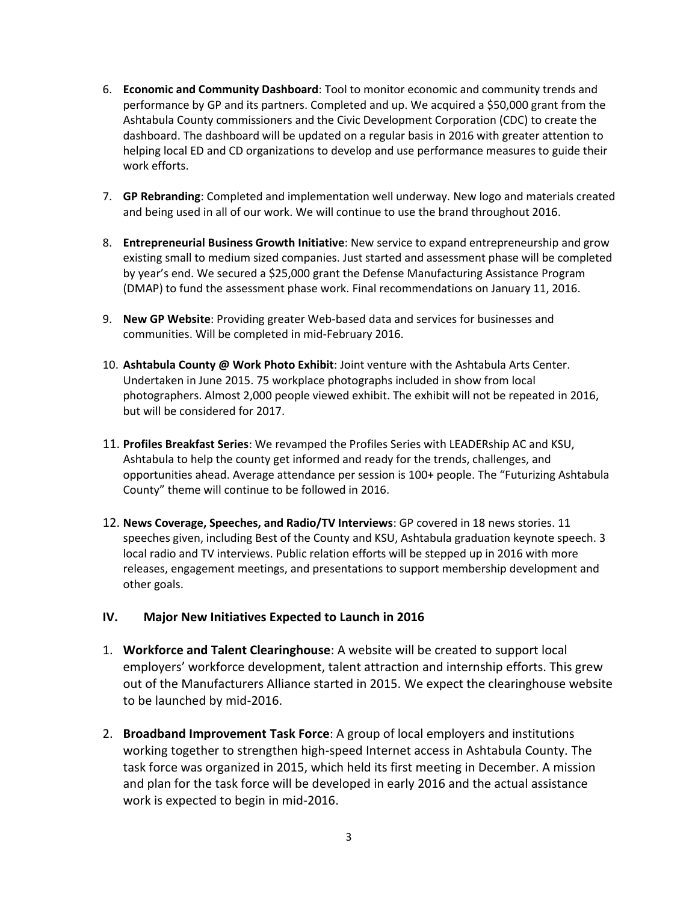- 6. **Economic and Community Dashboard**: Tool to monitor economic and community trends and performance by GP and its partners. Completed and up. We acquired a \$50,000 grant from the Ashtabula County commissioners and the Civic Development Corporation (CDC) to create the dashboard. The dashboard will be updated on a regular basis in 2016 with greater attention to helping local ED and CD organizations to develop and use performance measures to guide their work efforts.
- 7. **GP Rebranding**: Completed and implementation well underway. New logo and materials created and being used in all of our work. We will continue to use the brand throughout 2016.
- 8. **Entrepreneurial Business Growth Initiative**: New service to expand entrepreneurship and grow existing small to medium sized companies. Just started and assessment phase will be completed by year's end. We secured a \$25,000 grant the Defense Manufacturing Assistance Program (DMAP) to fund the assessment phase work. Final recommendations on January 11, 2016.
- 9. **New GP Website**: Providing greater Web-based data and services for businesses and communities. Will be completed in mid-February 2016.
- 10. **Ashtabula County @ Work Photo Exhibit**: Joint venture with the Ashtabula Arts Center. Undertaken in June 2015. 75 workplace photographs included in show from local photographers. Almost 2,000 people viewed exhibit. The exhibit will not be repeated in 2016, but will be considered for 2017.
- 11. **Profiles Breakfast Series**: We revamped the Profiles Series with LEADERship AC and KSU, Ashtabula to help the county get informed and ready for the trends, challenges, and opportunities ahead. Average attendance per session is 100+ people. The "Futurizing Ashtabula County" theme will continue to be followed in 2016.
- 12. **News Coverage, Speeches, and Radio/TV Interviews**: GP covered in 18 news stories. 11 speeches given, including Best of the County and KSU, Ashtabula graduation keynote speech. 3 local radio and TV interviews. Public relation efforts will be stepped up in 2016 with more releases, engagement meetings, and presentations to support membership development and other goals.

### **IV. Major New Initiatives Expected to Launch in 2016**

- 1. **Workforce and Talent Clearinghouse**: A website will be created to support local employers' workforce development, talent attraction and internship efforts. This grew out of the Manufacturers Alliance started in 2015. We expect the clearinghouse website to be launched by mid-2016.
- 2. **Broadband Improvement Task Force**: A group of local employers and institutions working together to strengthen high-speed Internet access in Ashtabula County. The task force was organized in 2015, which held its first meeting in December. A mission and plan for the task force will be developed in early 2016 and the actual assistance work is expected to begin in mid-2016.